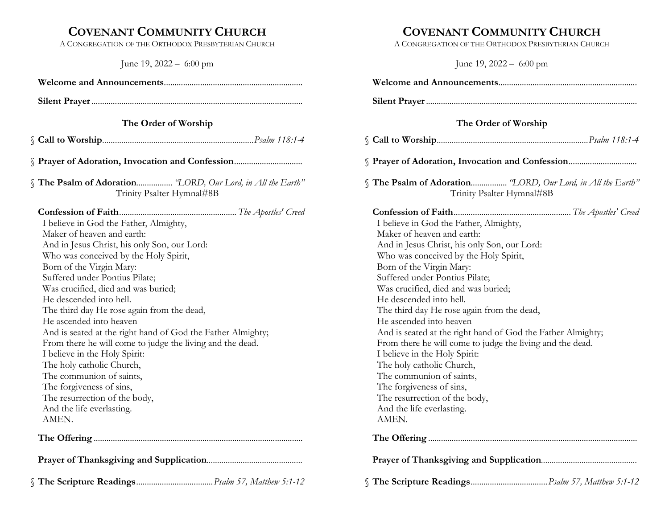# COVENANT COMMUNITY CHURCH

A CONGREGATION OF THE ORTHODOX PRESBYTERIAN CHURCH

June 19, 2022 – 6:00 pm

| The Order of Worship                                                                                                                                                                                                                                                                                                                                                                                                                                                                                                                                                                                                                                                                            |
|-------------------------------------------------------------------------------------------------------------------------------------------------------------------------------------------------------------------------------------------------------------------------------------------------------------------------------------------------------------------------------------------------------------------------------------------------------------------------------------------------------------------------------------------------------------------------------------------------------------------------------------------------------------------------------------------------|
|                                                                                                                                                                                                                                                                                                                                                                                                                                                                                                                                                                                                                                                                                                 |
|                                                                                                                                                                                                                                                                                                                                                                                                                                                                                                                                                                                                                                                                                                 |
| The Psalm of Adoration "LORD, Our Lord, in All the Earth"<br>Trinity Psalter Hymnal#8B                                                                                                                                                                                                                                                                                                                                                                                                                                                                                                                                                                                                          |
| I believe in God the Father, Almighty,<br>Maker of heaven and earth:<br>And in Jesus Christ, his only Son, our Lord:<br>Who was conceived by the Holy Spirit,<br>Born of the Virgin Mary:<br>Suffered under Pontius Pilate;<br>Was crucified, died and was buried;<br>He descended into hell.<br>The third day He rose again from the dead,<br>He ascended into heaven<br>And is seated at the right hand of God the Father Almighty;<br>From there he will come to judge the living and the dead.<br>I believe in the Holy Spirit:<br>The holy catholic Church,<br>The communion of saints,<br>The forgiveness of sins,<br>The resurrection of the body,<br>And the life everlasting.<br>AMEN. |
|                                                                                                                                                                                                                                                                                                                                                                                                                                                                                                                                                                                                                                                                                                 |

§ The Scripture Readings .................................... Psalm 57, Matthew 5:1-12

# COVENANT COMMUNITY CHURCH

A CONGREGATION OF THE ORTHODOX PRESBYTERIAN CHURCH

June 19, 2022 – 6:00 pm

| The Order of Worship                                                                                                                                                                                                                                                                                                                                                                                                                                                                                                                                                                                                                                                                            |
|-------------------------------------------------------------------------------------------------------------------------------------------------------------------------------------------------------------------------------------------------------------------------------------------------------------------------------------------------------------------------------------------------------------------------------------------------------------------------------------------------------------------------------------------------------------------------------------------------------------------------------------------------------------------------------------------------|
|                                                                                                                                                                                                                                                                                                                                                                                                                                                                                                                                                                                                                                                                                                 |
| Prayer of Adoration, Invocation and Confession                                                                                                                                                                                                                                                                                                                                                                                                                                                                                                                                                                                                                                                  |
| The Psalm of Adoration "LORD, Our Lord, in All the Earth"<br>Trinity Psalter Hymnal#8B                                                                                                                                                                                                                                                                                                                                                                                                                                                                                                                                                                                                          |
| I believe in God the Father, Almighty,<br>Maker of heaven and earth:<br>And in Jesus Christ, his only Son, our Lord:<br>Who was conceived by the Holy Spirit,<br>Born of the Virgin Mary:<br>Suffered under Pontius Pilate;<br>Was crucified, died and was buried;<br>He descended into hell.<br>The third day He rose again from the dead,<br>He ascended into heaven<br>And is seated at the right hand of God the Father Almighty;<br>From there he will come to judge the living and the dead.<br>I believe in the Holy Spirit:<br>The holy catholic Church,<br>The communion of saints,<br>The forgiveness of sins,<br>The resurrection of the body,<br>And the life everlasting.<br>AMEN. |
|                                                                                                                                                                                                                                                                                                                                                                                                                                                                                                                                                                                                                                                                                                 |
|                                                                                                                                                                                                                                                                                                                                                                                                                                                                                                                                                                                                                                                                                                 |